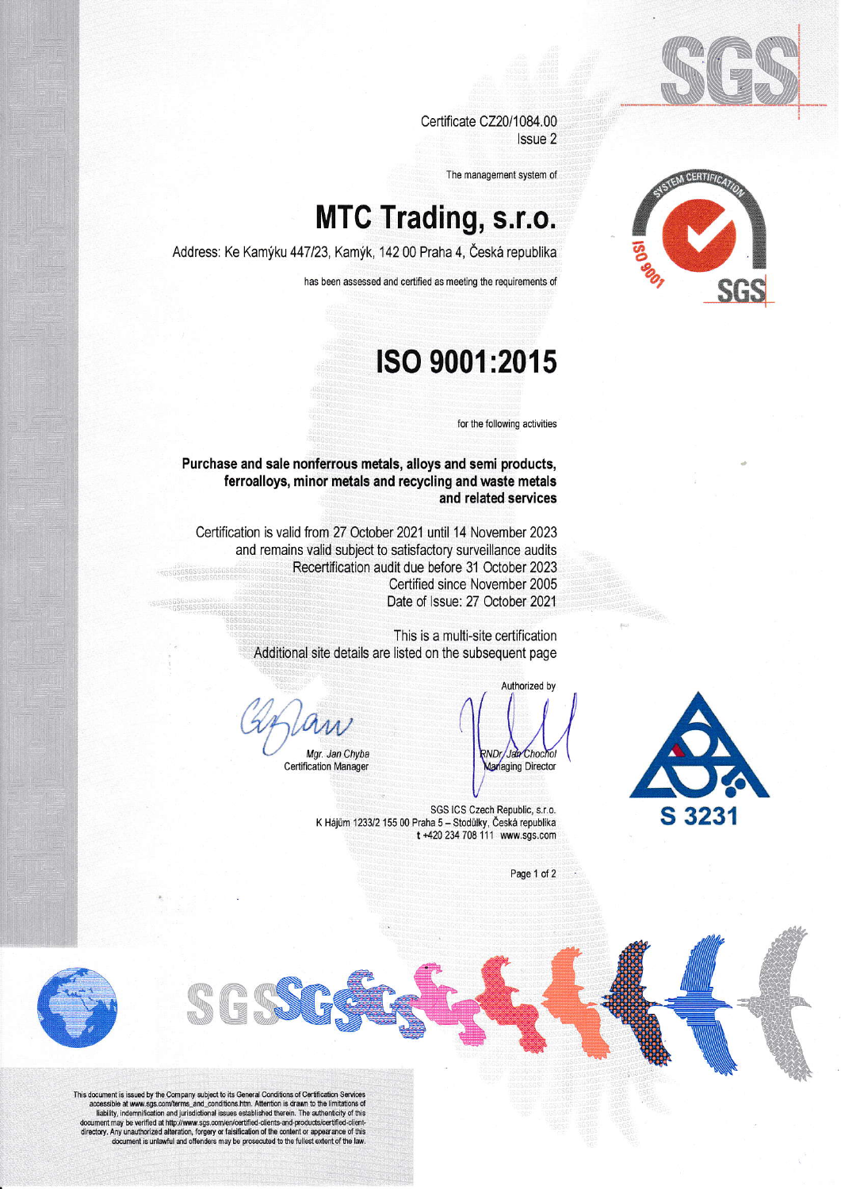

Certificate CZ20/1084.00 Issue 2

The management system of

## **MTC Trading, s.r.o.**

Address: Ke Kamýku 447/23, Kamýk, 142 00 Praha 4, Česká republika

has been assessed and certified as meeting the requirements of

## ISO 9001:2015

for the following activities

Purchase and sale nonferrous metals, alloys and semi products, ferroalloys, minor metals and recycling and waste metals and related services

Certification is valid from 27 October 2021 until 14 November 2023 and remains valid subject to satisfactory surveillance audits Recertification audit due before 31 October 2023 Certified since November 2005 Date of Issue: 27 October 2021

> This is a multi-site certification Additional site details are listed on the subsequent page

Mgr. Jan Chyba

**Certification Manager** 

Authorized by ND<sub>I</sub> Jan Chocho Managing Director



SGS ICS Czech Republic, s.r.o. K Hájům 1233/2 155 00 Praha 5 - Stodůlky, Česká republika t +420 234 708 111 www.sgs.com

Page 1 of 2



This document is issued by the Company subject to its General Conditions of Certification Services<br>accessible at www.sgs.com/terms\_and\_conditions.htm. Attention is drawn to the limitations of<br>liability, indemnification an